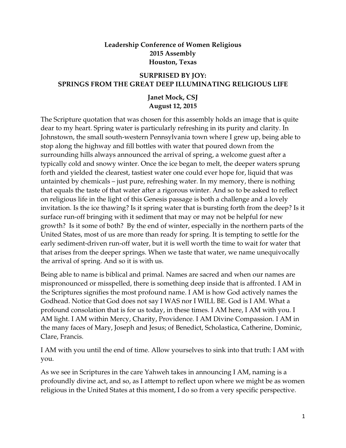# **Leadership Conference of Women Religious 2015 Assembly Houston, Texas**

#### **SURPRISED BY JOY: SPRINGS FROM THE GREAT DEEP ILLUMINATING RELIGIOUS LIFE**

#### **Janet Mock, CSJ August 12, 2015**

The Scripture quotation that was chosen for this assembly holds an image that is quite dear to my heart. Spring water is particularly refreshing in its purity and clarity. In Johnstown, the small south-western Pennsylvania town where I grew up, being able to stop along the highway and fill bottles with water that poured down from the surrounding hills always announced the arrival of spring, a welcome guest after a typically cold and snowy winter. Once the ice began to melt, the deeper waters sprung forth and yielded the clearest, tastiest water one could ever hope for, liquid that was untainted by chemicals – just pure, refreshing water. In my memory, there is nothing that equals the taste of that water after a rigorous winter. And so to be asked to reflect on religious life in the light of this Genesis passage is both a challenge and a lovely invitation. Is the ice thawing? Is it spring water that is bursting forth from the deep? Is it surface run-off bringing with it sediment that may or may not be helpful for new growth? Is it some of both? By the end of winter, especially in the northern parts of the United States, most of us are more than ready for spring. It is tempting to settle for the early sediment-driven run-off water, but it is well worth the time to wait for water that that arises from the deeper springs. When we taste that water, we name unequivocally the arrival of spring. And so it is with us.

Being able to name is biblical and primal. Names are sacred and when our names are mispronounced or misspelled, there is something deep inside that is affronted. I AM in the Scriptures signifies the most profound name. I AM is how God actively names the Godhead. Notice that God does not say I WAS nor I WILL BE. God is I AM. What a profound consolation that is for us today, in these times. I AM here, I AM with you. I AM light. I AM within Mercy, Charity, Providence. I AM Divine Compassion. I AM in the many faces of Mary, Joseph and Jesus; of Benedict, Scholastica, Catherine, Dominic, Clare, Francis.

I AM with you until the end of time. Allow yourselves to sink into that truth: I AM with you.

As we see in Scriptures in the care Yahweh takes in announcing I AM, naming is a profoundly divine act, and so, as I attempt to reflect upon where we might be as women religious in the United States at this moment, I do so from a very specific perspective.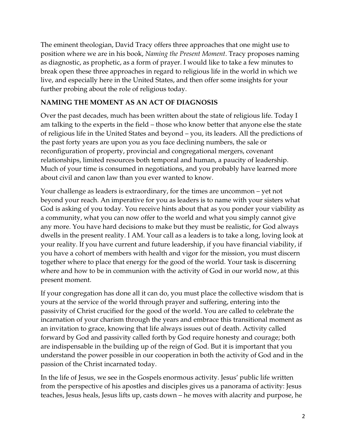The eminent theologian, David Tracy offers three approaches that one might use to position where we are in his book, *Naming the Present Moment*. Tracy proposes naming as diagnostic, as prophetic, as a form of prayer. I would like to take a few minutes to break open these three approaches in regard to religious life in the world in which we live, and especially here in the United States, and then offer some insights for your further probing about the role of religious today.

## **NAMING THE MOMENT AS AN ACT OF DIAGNOSIS**

Over the past decades, much has been written about the state of religious life. Today I am talking to the experts in the field – those who know better that anyone else the state of religious life in the United States and beyond – you, its leaders. All the predictions of the past forty years are upon you as you face declining numbers, the sale or reconfiguration of property, provincial and congregational mergers, covenant relationships, limited resources both temporal and human, a paucity of leadership. Much of your time is consumed in negotiations, and you probably have learned more about civil and canon law than you ever wanted to know.

Your challenge as leaders is extraordinary, for the times are uncommon – yet not beyond your reach. An imperative for you as leaders is to name with your sisters what God is asking of you today. You receive hints about that as you ponder your viability as a community, what you can now offer to the world and what you simply cannot give any more. You have hard decisions to make but they must be realistic, for God always dwells in the present reality. I AM. Your call as a leaders is to take a long, loving look at your reality. If you have current and future leadership, if you have financial viability, if you have a cohort of members with health and vigor for the mission, you must discern together where to place that energy for the good of the world. Your task is discerning where and how to be in communion with the activity of God in our world now, at this present moment.

If your congregation has done all it can do, you must place the collective wisdom that is yours at the service of the world through prayer and suffering, entering into the passivity of Christ crucified for the good of the world. You are called to celebrate the incarnation of your charism through the years and embrace this transitional moment as an invitation to grace, knowing that life always issues out of death. Activity called forward by God and passivity called forth by God require honesty and courage; both are indispensable in the building up of the reign of God. But it is important that you understand the power possible in our cooperation in both the activity of God and in the passion of the Christ incarnated today.

In the life of Jesus, we see in the Gospels enormous activity. Jesus' public life written from the perspective of his apostles and disciples gives us a panorama of activity: Jesus teaches, Jesus heals, Jesus lifts up, casts down – he moves with alacrity and purpose, he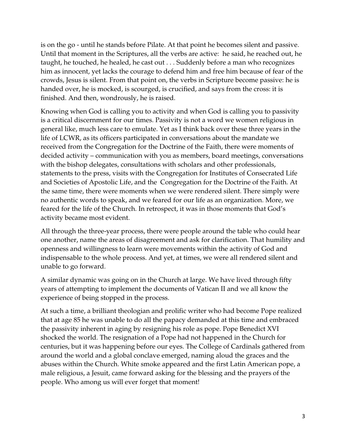is on the go - until he stands before Pilate. At that point he becomes silent and passive. Until that moment in the Scriptures, all the verbs are active: he said, he reached out, he taught, he touched, he healed, he cast out . . . Suddenly before a man who recognizes him as innocent, yet lacks the courage to defend him and free him because of fear of the crowds, Jesus is silent. From that point on, the verbs in Scripture become passive: he is handed over, he is mocked, is scourged, is crucified, and says from the cross: it is finished. And then, wondrously, he is raised.

Knowing when God is calling you to activity and when God is calling you to passivity is a critical discernment for our times. Passivity is not a word we women religious in general like, much less care to emulate. Yet as I think back over these three years in the life of LCWR, as its officers participated in conversations about the mandate we received from the Congregation for the Doctrine of the Faith, there were moments of decided activity – communication with you as members, board meetings, conversations with the bishop delegates, consultations with scholars and other professionals, statements to the press, visits with the Congregation for Institutes of Consecrated Life and Societies of Apostolic Life, and the Congregation for the Doctrine of the Faith. At the same time, there were moments when we were rendered silent. There simply were no authentic words to speak, and we feared for our life as an organization. More, we feared for the life of the Church. In retrospect, it was in those moments that God's activity became most evident.

All through the three-year process, there were people around the table who could hear one another, name the areas of disagreement and ask for clarification. That humility and openness and willingness to learn were movements within the activity of God and indispensable to the whole process. And yet, at times, we were all rendered silent and unable to go forward.

A similar dynamic was going on in the Church at large. We have lived through fifty years of attempting to implement the documents of Vatican II and we all know the experience of being stopped in the process.

At such a time, a brilliant theologian and prolific writer who had become Pope realized that at age 85 he was unable to do all the papacy demanded at this time and embraced the passivity inherent in aging by resigning his role as pope. Pope Benedict XVI shocked the world. The resignation of a Pope had not happened in the Church for centuries, but it was happening before our eyes. The College of Cardinals gathered from around the world and a global conclave emerged, naming aloud the graces and the abuses within the Church. White smoke appeared and the first Latin American pope, a male religious, a Jesuit, came forward asking for the blessing and the prayers of the people. Who among us will ever forget that moment!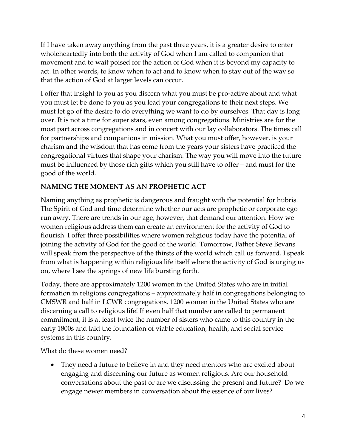If I have taken away anything from the past three years, it is a greater desire to enter wholeheartedly into both the activity of God when I am called to companion that movement and to wait poised for the action of God when it is beyond my capacity to act. In other words, to know when to act and to know when to stay out of the way so that the action of God at larger levels can occur.

I offer that insight to you as you discern what you must be pro-active about and what you must let be done to you as you lead your congregations to their next steps. We must let go of the desire to do everything we want to do by ourselves. That day is long over. It is not a time for super stars, even among congregations. Ministries are for the most part across congregations and in concert with our lay collaborators. The times call for partnerships and companions in mission. What you must offer, however, is your charism and the wisdom that has come from the years your sisters have practiced the congregational virtues that shape your charism. The way you will move into the future must be influenced by those rich gifts which you still have to offer – and must for the good of the world.

# **NAMING THE MOMENT AS AN PROPHETIC ACT**

Naming anything as prophetic is dangerous and fraught with the potential for hubris. The Spirit of God and time determine whether our acts are prophetic or corporate ego run awry. There are trends in our age, however, that demand our attention. How we women religious address them can create an environment for the activity of God to flourish. I offer three possibilities where women religious today have the potential of joining the activity of God for the good of the world. Tomorrow, Father Steve Bevans will speak from the perspective of the thirsts of the world which call us forward. I speak from what is happening within religious life itself where the activity of God is urging us on, where I see the springs of new life bursting forth.

Today, there are approximately 1200 women in the United States who are in initial formation in religious congregations – approximately half in congregations belonging to CMSWR and half in LCWR congregations. 1200 women in the United States who are discerning a call to religious life! If even half that number are called to permanent commitment, it is at least twice the number of sisters who came to this country in the early 1800s and laid the foundation of viable education, health, and social service systems in this country.

What do these women need?

• They need a future to believe in and they need mentors who are excited about engaging and discerning our future as women religious. Are our household conversations about the past or are we discussing the present and future? Do we engage newer members in conversation about the essence of our lives?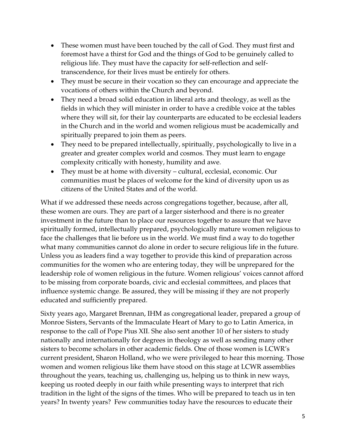- These women must have been touched by the call of God. They must first and foremost have a thirst for God and the things of God to be genuinely called to religious life. They must have the capacity for self-reflection and selftranscendence, for their lives must be entirely for others.
- They must be secure in their vocation so they can encourage and appreciate the vocations of others within the Church and beyond.
- They need a broad solid education in liberal arts and theology, as well as the fields in which they will minister in order to have a credible voice at the tables where they will sit, for their lay counterparts are educated to be ecclesial leaders in the Church and in the world and women religious must be academically and spiritually prepared to join them as peers.
- They need to be prepared intellectually, spiritually, psychologically to live in a greater and greater complex world and cosmos. They must learn to engage complexity critically with honesty, humility and awe.
- They must be at home with diversity cultural, ecclesial, economic. Our communities must be places of welcome for the kind of diversity upon us as citizens of the United States and of the world.

What if we addressed these needs across congregations together, because, after all, these women are ours. They are part of a larger sisterhood and there is no greater investment in the future than to place our resources together to assure that we have spiritually formed, intellectually prepared, psychologically mature women religious to face the challenges that lie before us in the world. We must find a way to do together what many communities cannot do alone in order to secure religious life in the future. Unless you as leaders find a way together to provide this kind of preparation across communities for the women who are entering today, they will be unprepared for the leadership role of women religious in the future. Women religious' voices cannot afford to be missing from corporate boards, civic and ecclesial committees, and places that influence systemic change. Be assured, they will be missing if they are not properly educated and sufficiently prepared.

Sixty years ago, Margaret Brennan, IHM as congregational leader, prepared a group of Monroe Sisters, Servants of the Immaculate Heart of Mary to go to Latin America, in response to the call of Pope Pius XII. She also sent another 10 of her sisters to study nationally and internationally for degrees in theology as well as sending many other sisters to become scholars in other academic fields. One of those women is LCWR's current president, Sharon Holland, who we were privileged to hear this morning. Those women and women religious like them have stood on this stage at LCWR assemblies throughout the years, teaching us, challenging us, helping us to think in new ways, keeping us rooted deeply in our faith while presenting ways to interpret that rich tradition in the light of the signs of the times. Who will be prepared to teach us in ten years? In twenty years? Few communities today have the resources to educate their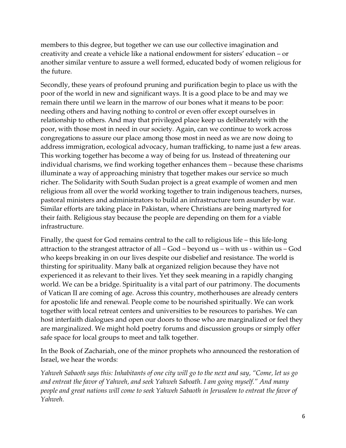members to this degree, but together we can use our collective imagination and creativity and create a vehicle like a national endowment for sisters' education – or another similar venture to assure a well formed, educated body of women religious for the future.

Secondly, these years of profound pruning and purification begin to place us with the poor of the world in new and significant ways. It is a good place to be and may we remain there until we learn in the marrow of our bones what it means to be poor: needing others and having nothing to control or even offer except ourselves in relationship to others. And may that privileged place keep us deliberately with the poor, with those most in need in our society. Again, can we continue to work across congregations to assure our place among those most in need as we are now doing to address immigration, ecological advocacy, human trafficking, to name just a few areas. This working together has become a way of being for us. Instead of threatening our individual charisms, we find working together enhances them – because these charisms illuminate a way of approaching ministry that together makes our service so much richer. The Solidarity with South Sudan project is a great example of women and men religious from all over the world working together to train indigenous teachers, nurses, pastoral ministers and administrators to build an infrastructure torn asunder by war. Similar efforts are taking place in Pakistan, where Christians are being martyred for their faith. Religious stay because the people are depending on them for a viable infrastructure.

Finally, the quest for God remains central to the call to religious life – this life-long attraction to the strangest attractor of all – God – beyond us – with us - within us – God who keeps breaking in on our lives despite our disbelief and resistance. The world is thirsting for spirituality. Many balk at organized religion because they have not experienced it as relevant to their lives. Yet they seek meaning in a rapidly changing world. We can be a bridge. Spirituality is a vital part of our patrimony. The documents of Vatican II are coming of age. Across this country, motherhouses are already centers for apostolic life and renewal. People come to be nourished spiritually. We can work together with local retreat centers and universities to be resources to parishes. We can host interfaith dialogues and open our doors to those who are marginalized or feel they are marginalized. We might hold poetry forums and discussion groups or simply offer safe space for local groups to meet and talk together.

In the Book of Zachariah, one of the minor prophets who announced the restoration of Israel, we hear the words:

*Yahweh Sabaoth says this: Inhabitants of one city will go to the next and say, "Come, let us go and entreat the favor of Yahweh, and seek Yahweh Saboath. I am going myself." And many people and great nations will come to seek Yahweh Sabaoth in Jerusalem to entreat the favor of Yahweh.*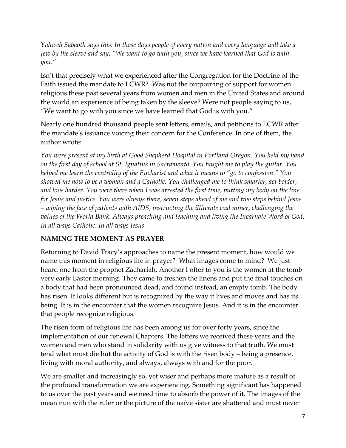*Yahweh Sabaoth says this: In those days people of every nation and every language will take a Jew by the sleeve and say, "We want to go with you, since we have learned that God is with you."*

Isn't that precisely what we experienced after the Congregation for the Doctrine of the Faith issued the mandate to LCWR? Was not the outpouring of support for women religious these past several years from women and men in the United States and around the world an experience of being taken by the sleeve? Were not people saying to us, "We want to go with you since we have learned that God is with you."

Nearly one hundred thousand people sent letters, emails, and petitions to LCWR after the mandate's issuance voicing their concern for the Conference. In one of them, the author wrote:

*You were present at my birth at Good Shepherd Hospital in Portland Oregon. You held my hand on the first day of school at St. Ignatius in Sacramento. You taught me to play the guitar. You helped me learn the centrality of the Eucharist and what it means to "go to confession." You showed me how to be a woman and a Catholic. You challenged me to think smarter, act bolder, and love harder. You were there when I was arrested the first time, putting my body on the line for Jesus and justice. You were always there, seven steps ahead of me and two steps behind Jesus – wiping the face of patients with AIDS, instructing the illiterate coal miner, challenging the values of the World Bank. Always preaching and teaching and living the Incarnate Word of God. In all ways Catholic. In all ways Jesus.*

# **NAMING THE MOMENT AS PRAYER**

Returning to David Tracy's approaches to name the present moment, how would we name this moment in religious life in prayer? What images come to mind? We just heard one from the prophet Zachariah. Another I offer to you is the women at the tomb very early Easter morning. They came to freshen the linens and put the final touches on a body that had been pronounced dead, and found instead, an empty tomb. The body has risen. It looks different but is recognized by the way it lives and moves and has its being. It is in the encounter that the women recognize Jesus. And it is in the encounter that people recognize religious.

The risen form of religious life has been among us for over forty years, since the implementation of our renewal Chapters. The letters we received these years and the women and men who stand in solidarity with us give witness to that truth. We must tend what must die but the activity of God is with the risen body – being a presence, living with moral authority, and always, always with and for the poor.

We are smaller and increasingly so, yet wiser and perhaps more mature as a result of the profound transformation we are experiencing. Something significant has happened to us over the past years and we need time to absorb the power of it. The images of the mean nun with the ruler or the picture of the naïve sister are shattered and must never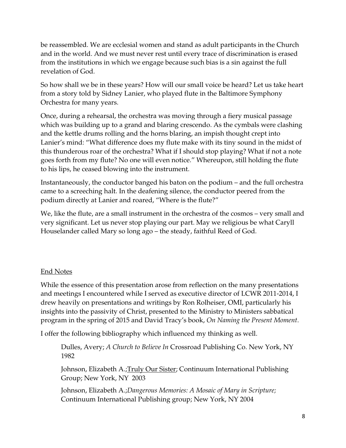be reassembled. We are ecclesial women and stand as adult participants in the Church and in the world. And we must never rest until every trace of discrimination is erased from the institutions in which we engage because such bias is a sin against the full revelation of God.

So how shall we be in these years? How will our small voice be heard? Let us take heart from a story told by Sidney Lanier, who played flute in the Baltimore Symphony Orchestra for many years.

Once, during a rehearsal, the orchestra was moving through a fiery musical passage which was building up to a grand and blaring crescendo. As the cymbals were clashing and the kettle drums rolling and the horns blaring, an impish thought crept into Lanier's mind: "What difference does my flute make with its tiny sound in the midst of this thunderous roar of the orchestra? What if I should stop playing? What if not a note goes forth from my flute? No one will even notice." Whereupon, still holding the flute to his lips, he ceased blowing into the instrument.

Instantaneously, the conductor banged his baton on the podium – and the full orchestra came to a screeching halt. In the deafening silence, the conductor peered from the podium directly at Lanier and roared, "Where is the flute?"

We, like the flute, are a small instrument in the orchestra of the cosmos – very small and very significant. Let us never stop playing our part. May we religious be what Caryll Houselander called Mary so long ago – the steady, faithful Reed of God.

# End Notes

While the essence of this presentation arose from reflection on the many presentations and meetings I encountered while I served as executive director of LCWR 2011-2014, I drew heavily on presentations and writings by Ron Rolheiser, OMI, particularly his insights into the passivity of Christ, presented to the Ministry to Ministers sabbatical program in the spring of 2015 and David Tracy's book, *On Naming the Present Moment*.

I offer the following bibliography which influenced my thinking as well.

Dulles, Avery; *A Church to Believe In* Crossroad Publishing Co. New York, NY 1982

Johnson, Elizabeth A.; Truly Our Sister; Continuum International Publishing Group; New York, NY 2003

Johnson, Elizabeth A.;*Dangerous Memories: A Mosaic of Mary in Scripture;* Continuum International Publishing group; New York, NY 2004